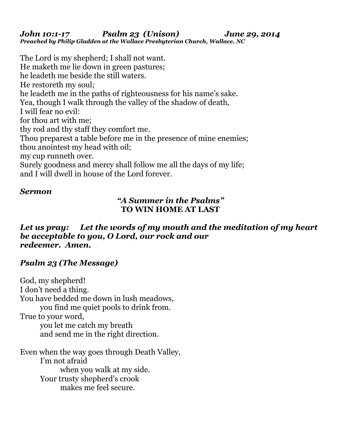*John 10:1-17 Psalm 23 (Unison) June 29, 2014 Preached by Philip Gladden at the Wallace Presbyterian Church, Wallace, NC*

The Lord is my shepherd; I shall not want. He maketh me lie down in green pastures; he leadeth me beside the still waters. He restoreth my soul; he leadeth me in the paths of righteousness for his name's sake. Yea, though I walk through the valley of the shadow of death, I will fear no evil: for thou art with me; thy rod and thy staff they comfort me. Thou preparest a table before me in the presence of mine enemies; thou anointest my head with oil; my cup runneth over. Surely goodness and mercy shall follow me all the days of my life; and I will dwell in house of the Lord forever.

## *Sermon*

## *"A Summer in the Psalms"*  **TO WIN HOME AT LAST**

*Let us pray: Let the words of my mouth and the meditation of my heart be acceptable to you, O Lord, our rock and our redeemer. Amen.* 

# *Psalm 23 (The Message)*

God, my shepherd! I don't need a thing. You have bedded me down in lush meadows, you find me quiet pools to drink from. True to your word, you let me catch my breath and send me in the right direction.

Even when the way goes through Death Valley, I'm not afraid when you walk at my side. Your trusty shepherd's crook makes me feel secure.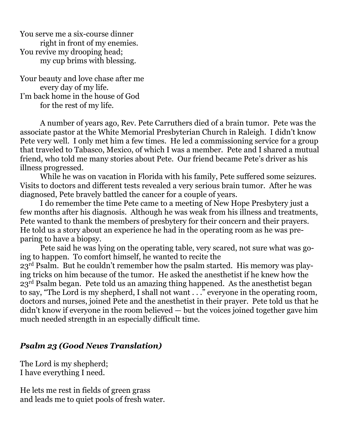You serve me a six-course dinner right in front of my enemies. You revive my drooping head; my cup brims with blessing.

Your beauty and love chase after me every day of my life. I'm back home in the house of God for the rest of my life.

 A number of years ago, Rev. Pete Carruthers died of a brain tumor. Pete was the associate pastor at the White Memorial Presbyterian Church in Raleigh. I didn't know Pete very well. I only met him a few times. He led a commissioning service for a group that traveled to Tabasco, Mexico, of which I was a member. Pete and I shared a mutual friend, who told me many stories about Pete. Our friend became Pete's driver as his illness progressed.

 While he was on vacation in Florida with his family, Pete suffered some seizures. Visits to doctors and different tests revealed a very serious brain tumor. After he was diagnosed, Pete bravely battled the cancer for a couple of years.

 I do remember the time Pete came to a meeting of New Hope Presbytery just a few months after his diagnosis. Although he was weak from his illness and treatments, Pete wanted to thank the members of presbytery for their concern and their prayers. He told us a story about an experience he had in the operating room as he was preparing to have a biopsy.

 Pete said he was lying on the operating table, very scared, not sure what was going to happen. To comfort himself, he wanted to recite the 23rd Psalm. But he couldn't remember how the psalm started. His memory was playing tricks on him because of the tumor. He asked the anesthetist if he knew how the 23rd Psalm began. Pete told us an amazing thing happened. As the anesthetist began to say, "The Lord is my shepherd, I shall not want . . ." everyone in the operating room, doctors and nurses, joined Pete and the anesthetist in their prayer. Pete told us that he didn't know if everyone in the room believed — but the voices joined together gave him much needed strength in an especially difficult time.

#### *Psalm 23 (Good News Translation)*

The Lord is my shepherd; I have everything I need.

He lets me rest in fields of green grass and leads me to quiet pools of fresh water.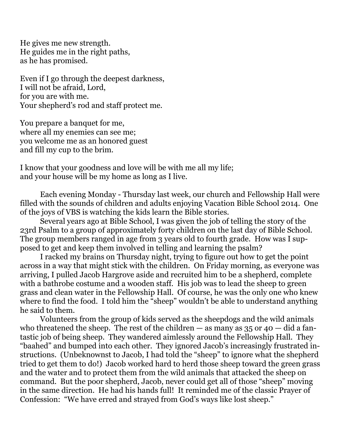He gives me new strength. He guides me in the right paths, as he has promised.

Even if I go through the deepest darkness, I will not be afraid, Lord, for you are with me. Your shepherd's rod and staff protect me.

You prepare a banquet for me, where all my enemies can see me; you welcome me as an honored guest and fill my cup to the brim.

I know that your goodness and love will be with me all my life; and your house will be my home as long as I live.

 Each evening Monday - Thursday last week, our church and Fellowship Hall were filled with the sounds of children and adults enjoying Vacation Bible School 2014. One of the joys of VBS is watching the kids learn the Bible stories.

 Several years ago at Bible School, I was given the job of telling the story of the 23rd Psalm to a group of approximately forty children on the last day of Bible School. The group members ranged in age from 3 years old to fourth grade. How was I supposed to get and keep them involved in telling and learning the psalm?

 I racked my brains on Thursday night, trying to figure out how to get the point across in a way that might stick with the children. On Friday morning, as everyone was arriving, I pulled Jacob Hargrove aside and recruited him to be a shepherd, complete with a bathrobe costume and a wooden staff. His job was to lead the sheep to green grass and clean water in the Fellowship Hall. Of course, he was the only one who knew where to find the food. I told him the "sheep" wouldn't be able to understand anything he said to them.

 Volunteers from the group of kids served as the sheepdogs and the wild animals who threatened the sheep. The rest of the children  $-$  as many as 35 or 40  $-$  did a fantastic job of being sheep. They wandered aimlessly around the Fellowship Hall. They "baahed" and bumped into each other. They ignored Jacob's increasingly frustrated instructions. (Unbeknownst to Jacob, I had told the "sheep" to ignore what the shepherd tried to get them to do!) Jacob worked hard to herd those sheep toward the green grass and the water and to protect them from the wild animals that attacked the sheep on command. But the poor shepherd, Jacob, never could get all of those "sheep" moving in the same direction. He had his hands full! It reminded me of the classic Prayer of Confession: "We have erred and strayed from God's ways like lost sheep."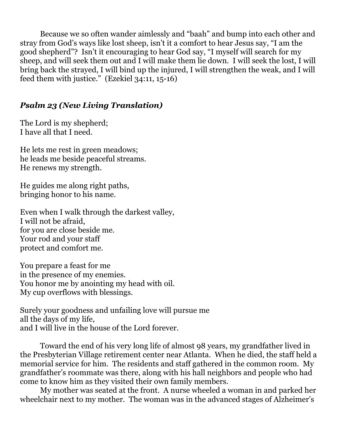Because we so often wander aimlessly and "baah" and bump into each other and stray from God's ways like lost sheep, isn't it a comfort to hear Jesus say, "I am the good shepherd"? Isn't it encouraging to hear God say, "I myself will search for my sheep, and will seek them out and I will make them lie down. I will seek the lost, I will bring back the strayed, I will bind up the injured, I will strengthen the weak, and I will feed them with justice." (Ezekiel 34:11, 15-16)

## *Psalm 23 (New Living Translation)*

The Lord is my shepherd; I have all that I need.

He lets me rest in green meadows; he leads me beside peaceful streams. He renews my strength.

He guides me along right paths, bringing honor to his name.

Even when I walk through the darkest valley, I will not be afraid, for you are close beside me. Your rod and your staff protect and comfort me.

You prepare a feast for me in the presence of my enemies. You honor me by anointing my head with oil. My cup overflows with blessings.

Surely your goodness and unfailing love will pursue me all the days of my life, and I will live in the house of the Lord forever.

 Toward the end of his very long life of almost 98 years, my grandfather lived in the Presbyterian Village retirement center near Atlanta. When he died, the staff held a memorial service for him. The residents and staff gathered in the common room. My grandfather's roommate was there, along with his hall neighbors and people who had come to know him as they visited their own family members.

 My mother was seated at the front. A nurse wheeled a woman in and parked her wheelchair next to my mother. The woman was in the advanced stages of Alzheimer's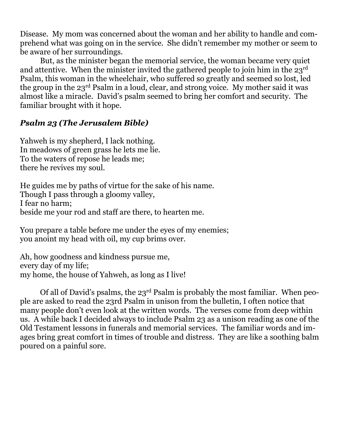Disease. My mom was concerned about the woman and her ability to handle and comprehend what was going on in the service. She didn't remember my mother or seem to be aware of her surroundings.

 But, as the minister began the memorial service, the woman became very quiet and attentive. When the minister invited the gathered people to join him in the  $23<sup>rd</sup>$ Psalm, this woman in the wheelchair, who suffered so greatly and seemed so lost, led the group in the 23rd Psalm in a loud, clear, and strong voice. My mother said it was almost like a miracle. David's psalm seemed to bring her comfort and security. The familiar brought with it hope.

# *Psalm 23 (The Jerusalem Bible)*

Yahweh is my shepherd, I lack nothing. In meadows of green grass he lets me lie. To the waters of repose he leads me; there he revives my soul.

He guides me by paths of virtue for the sake of his name. Though I pass through a gloomy valley, I fear no harm; beside me your rod and staff are there, to hearten me.

You prepare a table before me under the eyes of my enemies; you anoint my head with oil, my cup brims over.

Ah, how goodness and kindness pursue me, every day of my life; my home, the house of Yahweh, as long as I live!

 Of all of David's psalms, the 23rd Psalm is probably the most familiar. When people are asked to read the 23rd Psalm in unison from the bulletin, I often notice that many people don't even look at the written words. The verses come from deep within us. A while back I decided always to include Psalm 23 as a unison reading as one of the Old Testament lessons in funerals and memorial services. The familiar words and images bring great comfort in times of trouble and distress. They are like a soothing balm poured on a painful sore.